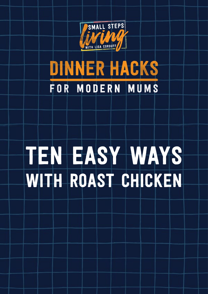

## DINNER HACKS FOR MODERN MUMS

# ten easy ways with roast chicken

1 © Lisa Corduff 2016 [www.smallstepsliving.com](http://www.smallstepsliving.com/)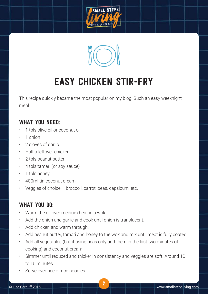



### easy chicken stir-fry

This recipe quickly became the most popular on my blog! Such an easy weeknight meal.

#### WHAT YOU NEED:

- 1 thls olive oil or coconut oil
- 1 onion
- • 2 cloves of garlic
- • Half a leftover chicken
- • 2 tbls peanut butter
- • 4 tbls tamari (or soy sauce)
- 1 tbls honey
- • 400ml tin coconut cream
- Veggies of choice  $-$  broccoli, carrot, peas, capsicum, etc.

- Warm the oil over medium heat in a wok.
- Add the onion and garlic and cook until onion is translucent.
- Add chicken and warm through.
- Add peanut butter, tamari and honey to the wok and mix until meat is fully coated.
- • Add all vegetables (but if using peas only add them in the last two minutes of cooking) and coconut cream.
- Simmer until reduced and thicker in consistency and veggies are soft. Around 10 to 15 minutes.
- Serve over rice or rice noodles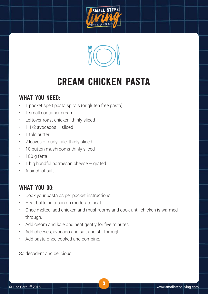



### cream chicken pasta

#### WHAT YOU NEED:

- • 1 packet spelt pasta spirals (or gluten free pasta)
- 1 small container cream
- • Leftover roast chicken, thinly sliced
- $\cdot$  1 1/2 avocados sliced
- 1 tbls butter
- • 2 leaves of curly kale, thinly sliced
- 10 button mushrooms thinly sliced
- 100 g fetta
- 1 big handful parmesan cheese grated
- A pinch of salt

#### WHAT YOU DO:

- • Cook your pasta as per packet instructions
- • Heat butter in a pan on moderate heat.
- • Once melted, add chicken and mushrooms and cook until chicken is warmed through.
- • Add cream and kale and heat gently for five minutes
- • Add cheeses, avocado and salt and stir through.
- Add pasta once cooked and combine.

So decadent and delicious!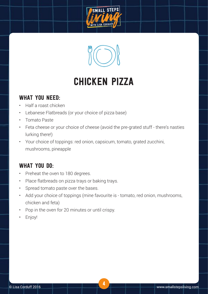



### chicken pizza

#### WHAT YOU NEED:

- • Half a roast chicken
- • Lebanese Flatbreads (or your choice of pizza base)
- • Tomato Paste
- Feta cheese or your choice of cheese (avoid the pre-grated stuff there's nasties lurking there!)
- • Your choice of toppings: red onion, capsicum, tomato, grated zucchini, mushrooms, pineapple

- Preheat the oven to 180 degrees.
- • Place flatbreads on pizza trays or baking trays.
- • Spread tomato paste over the bases.
- Add your choice of toppings (mine favourite is tomato, red onion, mushrooms, chicken and feta)
- Pop in the oven for 20 minutes or until crispy.
- Enjoy!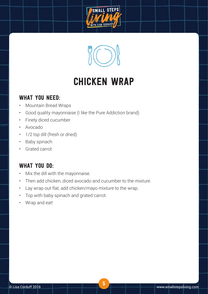



### chicken wrap

#### WHAT YOU NEED:

- • Mountain Bread Wraps
- • Good quality mayonnaise (I like the Pure Addiction brand)
- • Finely diced cucumber
- • Avocado
- 1/2 tsp dill (fresh or dried)
- • Baby spinach
- • Grated carrot

- Mix the dill with the mayonnaise.
- • Then add chicken, diced avocado and cucumber to the mixture.
- • Lay wrap out flat, add chicken/mayo mixture to the wrap.
- Top with baby spinach and grated carrot.
- • Wrap and eat!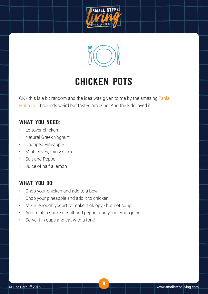



### chicken pots

OK - this is a bit random and the idea was given to me by the amazing Tania [Hubbard](http://www.taniahubbard.com/). It sounds weird but tastes amazing! And the kids loved it.

#### WHAT YOU NEED:

- Leftover chicken
- Natural Greek Yoghurt
- • Chopped Pineapple
- Mint leaves, thinly sliced
- • Salt and Pepper
- • Juice of half a lemon

- • Chop your chicken and add to a bowl.
- • Chop your pineapple and add it to chicken.
- Mix in enough yogurt to make it gloopy but not soup!
- Add mint, a shake of salt and pepper and your lemon juice.
- • Serve it in cups and eat with a fork!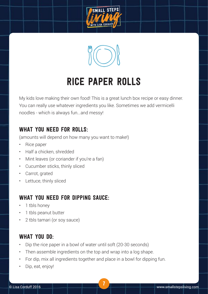



### rice paper rolls

My kids love making their own food! This is a great lunch box recipe or easy dinner. You can really use whatever ingredients you like. Sometimes we add vermicelli noodles - which is always fun...and messy!

#### WHAT YOU NEED FOR ROLLS:

(amounts will depend on how many you want to make!)

- • Rice paper
- • Half a chicken, shredded
- • Mint leaves (or coriander if you're a fan)
- • Cucumber sticks, thinly sliced
- • Carrot, grated
- • Lettuce, thinly sliced

#### WHAT YOU NEED FOR DIPPING SAUCE:

- 1 tbls honey
- 1 tbls peanut butter
- 2 tbls tamari (or soy sauce)

- Dip the rice paper in a bowl of water until soft (20-30 seconds)
- Then assemble ingredients on the top and wrap into a log shape.
- For dip, mix all ingredients together and place in a bowl for dipping fun.
- Dip, eat, enjoy!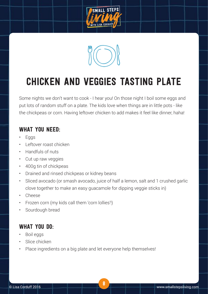



### Chicken and Veggies Tasting Plate

Some nights we don't want to cook - I hear you! On those night I boil some eggs and put lots of random stuff on a plate. The kids love when things are in little pots - like the chickpeas or corn. Having leftover chicken to add makes it feel like dinner, haha!

#### WHAT YOU NEED:

- **Eggs**
- **Leftover roast chicken**
- • Handfuls of nuts
- • Cut up raw veggies
- • 400g tin of chickpeas
- • Drained and rinsed chickpeas or kidney beans
- Sliced avocado (or smash avocado, juice of half a lemon, salt and 1 crushed garlic clove together to make an easy guacamole for dipping veggie sticks in)
- • Cheese
- Frozen corn (my kids call them 'corn lollies'!)
- Sourdough bread

- • Boil eggs
- Slice chicken
- Place ingredients on a big plate and let everyone help themselves!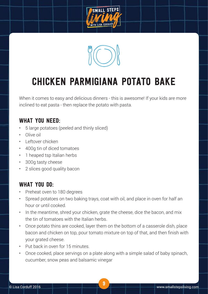



### Chicken Parmigiana Potato Bake

When it comes to easy and delicious dinners - this is awesome! If your kids are more inclined to eat pasta - then replace the potato with pasta.

#### WHAT YOU NEED:

- 5 large potatoes (peeled and thinly sliced)
- Olive oil
- Leftover chicken
- • 400g tin of diced tomatoes
- 1 heaped tsp Italian herbs
- • 300g tasty cheese
- 2 slices good quality bacon

- Preheat oven to 180 degrees
- • Spread potatoes on two baking trays, coat with oil, and place in oven for half an hour or until cooked.
- In the meantime, shred your chicken, grate the cheese, dice the bacon, and mix the tin of tomatoes with the Italian herbs.
- Once potato thins are cooked, layer them on the bottom of a casserole dish, place bacon and chicken on top, pour tomato mixture on top of that, and then finish with your grated cheese.
- Put back in oven for 15 minutes.
- Once cooked, place servings on a plate along with a simple salad of baby spinach, cucumber, snow peas and balsamic vinegar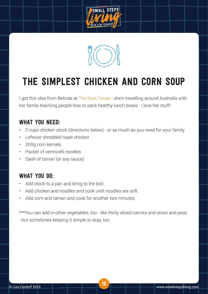



### The simplest Chicken and Corn Soup

I got this idea from Belinda at [The Root Cause](https://therootcause.com.au/) - she's travelling around Australia with her family teaching people how to pack healthy lunch boxes - I love her stuff!

#### WHAT YOU NEED:

- 2 cups chicken stock (directions below) or as much as you need for your family
- Leftover shredded roast chicken
- • 200g corn kernels
- • Packet of vermicelli noodles
- • Dash of tamari (or soy sauce)

#### WHAT YOU DO:

- Add stock to a pan and bring to the boil.
- • Add chicken and noodles and cook until noodles are soft.
- Add corn and tamari and cook for another two minutes

\*\*\*You can add in other vegetables, too - like thinly sliced carrots and onion and peas - but sometimes keeping it simple is okay, too.